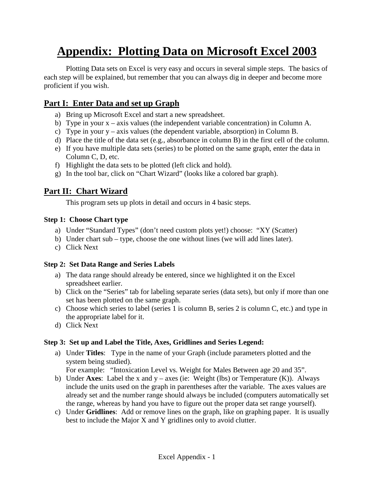# **Appendix: Plotting Data on Microsoft Excel 2003**

Plotting Data sets on Excel is very easy and occurs in several simple steps. The basics of each step will be explained, but remember that you can always dig in deeper and become more proficient if you wish.

## **Part I: Enter Data and set up Graph**

- a) Bring up Microsoft Excel and start a new spreadsheet.
- b) Type in your x axis values (the independent variable concentration) in Column A.
- c) Type in your y axis values (the dependent variable, absorption) in Column B.
- d) Place the title of the data set (e.g., absorbance in column B) in the first cell of the column.
- e) If you have multiple data sets (series) to be plotted on the same graph, enter the data in Column C, D, etc.
- f) Highlight the data sets to be plotted (left click and hold).
- g) In the tool bar, click on "Chart Wizard" (looks like a colored bar graph).

### **Part II: Chart Wizard**

This program sets up plots in detail and occurs in 4 basic steps.

#### **Step 1: Choose Chart type**

- a) Under "Standard Types" (don't need custom plots yet!) choose: "XY (Scatter)
- b) Under chart sub type, choose the one without lines (we will add lines later).
- c) Click Next

#### **Step 2: Set Data Range and Series Labels**

- a) The data range should already be entered, since we highlighted it on the Excel spreadsheet earlier.
- b) Click on the "Series" tab for labeling separate series (data sets), but only if more than one set has been plotted on the same graph.
- c) Choose which series to label (series 1 is column B, series 2 is column C, etc.) and type in the appropriate label for it.
- d) Click Next

#### **Step 3: Set up and Label the Title, Axes, Gridlines and Series Legend:**

a) Under **Titles**: Type in the name of your Graph (include parameters plotted and the system being studied).

For example: "Intoxication Level vs. Weight for Males Between age 20 and 35".

- b) Under **Axes**: Label the x and  $y a$ xes (ie: Weight (lbs) or Temperature (K)). Always include the units used on the graph in parentheses after the variable. The axes values are already set and the number range should always be included (computers automatically set the range, whereas by hand you have to figure out the proper data set range yourself).
- c) Under **Gridlines**: Add or remove lines on the graph, like on graphing paper. It is usually best to include the Major X and Y gridlines only to avoid clutter.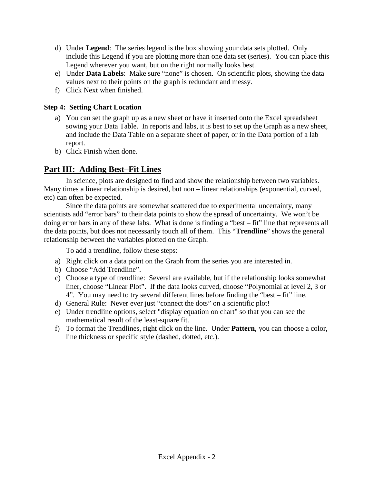- d) Under **Legend**: The series legend is the box showing your data sets plotted. Only include this Legend if you are plotting more than one data set (series). You can place this Legend wherever you want, but on the right normally looks best.
- e) Under **Data Labels**: Make sure "none" is chosen. On scientific plots, showing the data values next to their points on the graph is redundant and messy.
- f) Click Next when finished.

#### **Step 4: Setting Chart Location**

- a) You can set the graph up as a new sheet or have it inserted onto the Excel spreadsheet sowing your Data Table. In reports and labs, it is best to set up the Graph as a new sheet, and include the Data Table on a separate sheet of paper, or in the Data portion of a lab report.
- b) Click Finish when done.

## **Part III: Adding Best–Fit Lines**

In science, plots are designed to find and show the relationship between two variables. Many times a linear relationship is desired, but non – linear relationships (exponential, curved, etc) can often be expected.

Since the data points are somewhat scattered due to experimental uncertainty, many scientists add "error bars" to their data points to show the spread of uncertainty. We won't be doing error bars in any of these labs. What is done is finding a "best – fit" line that represents all the data points, but does not necessarily touch all of them. This "**Trendline**" shows the general relationship between the variables plotted on the Graph.

To add a trendline, follow these steps:

- a) Right click on a data point on the Graph from the series you are interested in.
- b) Choose "Add Trendline".
- c) Choose a type of trendline: Several are available, but if the relationship looks somewhat liner, choose "Linear Plot". If the data looks curved, choose "Polynomial at level 2, 3 or 4". You may need to try several different lines before finding the "best – fit" line.
- d) General Rule: Never ever just "connect the dots" on a scientific plot!
- e) Under trendline options, select "display equation on chart" so that you can see the mathematical result of the least-square fit.
- f) To format the Trendlines, right click on the line. Under **Pattern**, you can choose a color, line thickness or specific style (dashed, dotted, etc.).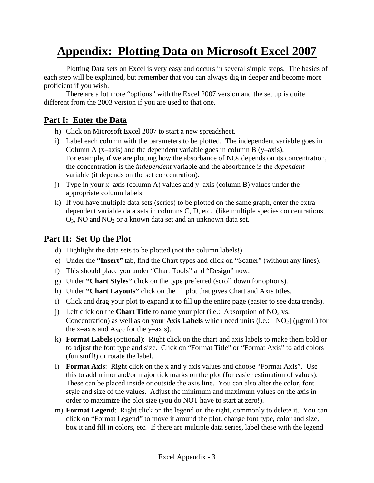# **Appendix: Plotting Data on Microsoft Excel 2007**

Plotting Data sets on Excel is very easy and occurs in several simple steps. The basics of each step will be explained, but remember that you can always dig in deeper and become more proficient if you wish.

There are a lot more "options" with the Excel 2007 version and the set up is quite different from the 2003 version if you are used to that one.

### **Part I: Enter the Data**

- h) Click on Microsoft Excel 2007 to start a new spreadsheet.
- i) Label each column with the parameters to be plotted. The independent variable goes in Column A ( $x$ –axis) and the dependent variable goes in column B ( $y$ –axis). For example, if we are plotting how the absorbance of  $NO<sub>2</sub>$  depends on its concentration, the concentration is the *independent* variable and the absorbance is the *dependent*  variable (it depends on the set concentration).
- j) Type in your x–axis (column A) values and y–axis (column B) values under the appropriate column labels.
- k) If you have multiple data sets (series) to be plotted on the same graph, enter the extra dependent variable data sets in columns C, D, etc. (like multiple species concentrations,  $O_3$ , NO and NO<sub>2</sub> or a known data set and an unknown data set.

### **Part II: Set Up the Plot**

- d) Highlight the data sets to be plotted (not the column labels!).
- e) Under the **"Insert"** tab, find the Chart types and click on "Scatter" (without any lines).
- f) This should place you under "Chart Tools" and "Design" now.
- g) Under **"Chart Styles"** click on the type preferred (scroll down for options).
- h) Under **"Chart Layouts"** click on the 1<sup>st</sup> plot that gives Chart and Axis titles.
- i) Click and drag your plot to expand it to fill up the entire page (easier to see data trends).
- j) Left click on the **Chart Title** to name your plot (i.e.: Absorption of  $NO_2$  vs. Concentration) as well as on your **Axis Labels** which need units (i.e.:  $[NO_2] (\mu g/mL)$  for the x–axis and  $A_{NO2}$  for the y–axis).
- k) **Format Labels** (optional): Right click on the chart and axis labels to make them bold or to adjust the font type and size. Click on "Format Title" or "Format Axis" to add colors (fun stuff!) or rotate the label.
- l) **Format Axis**: Right click on the x and y axis values and choose "Format Axis". Use this to add minor and/or major tick marks on the plot (for easier estimation of values). These can be placed inside or outside the axis line. You can also alter the color, font style and size of the values. Adjust the minimum and maximum values on the axis in order to maximize the plot size (you do NOT have to start at zero!).
- m) **Format Legend**: Right click on the legend on the right, commonly to delete it. You can click on "Format Legend" to move it around the plot, change font type, color and size, box it and fill in colors, etc. If there are multiple data series, label these with the legend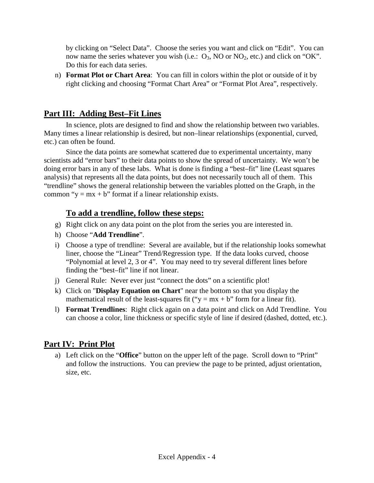by clicking on "Select Data". Choose the series you want and click on "Edit". You can now name the series whatever you wish (i.e.:  $O_3$ , NO or NO<sub>2</sub>, etc.) and click on "OK". Do this for each data series.

n) **Format Plot or Chart Area**: You can fill in colors within the plot or outside of it by right clicking and choosing "Format Chart Area" or "Format Plot Area", respectively.

## **Part III: Adding Best–Fit Lines**

In science, plots are designed to find and show the relationship between two variables. Many times a linear relationship is desired, but non–linear relationships (exponential, curved, etc.) can often be found.

Since the data points are somewhat scattered due to experimental uncertainty, many scientists add "error bars" to their data points to show the spread of uncertainty. We won't be doing error bars in any of these labs. What is done is finding a "best–fit" line (Least squares analysis) that represents all the data points, but does not necessarily touch all of them. This "trendline" shows the general relationship between the variables plotted on the Graph, in the common " $y = mx + b$ " format if a linear relationship exists.

### **To add a trendline, follow these steps:**

- g) Right click on any data point on the plot from the series you are interested in.
- h) Choose "**Add Trendline**".
- i) Choose a type of trendline: Several are available, but if the relationship looks somewhat liner, choose the "Linear" Trend/Regression type. If the data looks curved, choose "Polynomial at level 2, 3 or 4". You may need to try several different lines before finding the "best–fit" line if not linear.
- j) General Rule: Never ever just "connect the dots" on a scientific plot!
- k) Click on "**Display Equation on Chart**" near the bottom so that you display the mathematical result of the least-squares fit (" $y = mx + b$ " form for a linear fit).
- l) **Format Trendlines**: Right click again on a data point and click on Add Trendline. You can choose a color, line thickness or specific style of line if desired (dashed, dotted, etc.).

## **Part IV: Print Plot**

a) Left click on the "**Office**" button on the upper left of the page. Scroll down to "Print" and follow the instructions. You can preview the page to be printed, adjust orientation, size, etc.